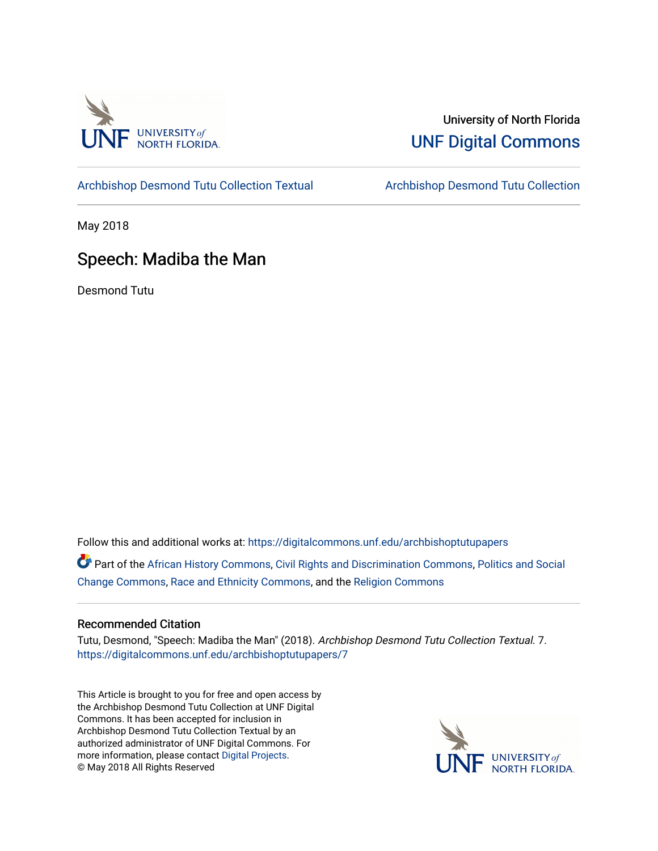

### University of North Florida [UNF Digital Commons](https://digitalcommons.unf.edu/)

[Archbishop Desmond Tutu Collection Textual](https://digitalcommons.unf.edu/archbishoptutupapers) [Archbishop Desmond Tutu Collection](https://digitalcommons.unf.edu/archbishoptutu) 

May 2018

# Speech: Madiba the Man

Desmond Tutu

Follow this and additional works at: [https://digitalcommons.unf.edu/archbishoptutupapers](https://digitalcommons.unf.edu/archbishoptutupapers?utm_source=digitalcommons.unf.edu%2Farchbishoptutupapers%2F7&utm_medium=PDF&utm_campaign=PDFCoverPages)

Part of the [African History Commons](http://network.bepress.com/hgg/discipline/490?utm_source=digitalcommons.unf.edu%2Farchbishoptutupapers%2F7&utm_medium=PDF&utm_campaign=PDFCoverPages), [Civil Rights and Discrimination Commons](http://network.bepress.com/hgg/discipline/585?utm_source=digitalcommons.unf.edu%2Farchbishoptutupapers%2F7&utm_medium=PDF&utm_campaign=PDFCoverPages), [Politics and Social](http://network.bepress.com/hgg/discipline/425?utm_source=digitalcommons.unf.edu%2Farchbishoptutupapers%2F7&utm_medium=PDF&utm_campaign=PDFCoverPages) [Change Commons](http://network.bepress.com/hgg/discipline/425?utm_source=digitalcommons.unf.edu%2Farchbishoptutupapers%2F7&utm_medium=PDF&utm_campaign=PDFCoverPages), [Race and Ethnicity Commons](http://network.bepress.com/hgg/discipline/426?utm_source=digitalcommons.unf.edu%2Farchbishoptutupapers%2F7&utm_medium=PDF&utm_campaign=PDFCoverPages), and the [Religion Commons](http://network.bepress.com/hgg/discipline/538?utm_source=digitalcommons.unf.edu%2Farchbishoptutupapers%2F7&utm_medium=PDF&utm_campaign=PDFCoverPages)

#### Recommended Citation

Tutu, Desmond, "Speech: Madiba the Man" (2018). Archbishop Desmond Tutu Collection Textual. 7. [https://digitalcommons.unf.edu/archbishoptutupapers/7](https://digitalcommons.unf.edu/archbishoptutupapers/7?utm_source=digitalcommons.unf.edu%2Farchbishoptutupapers%2F7&utm_medium=PDF&utm_campaign=PDFCoverPages) 

This Article is brought to you for free and open access by the Archbishop Desmond Tutu Collection at UNF Digital Commons. It has been accepted for inclusion in Archbishop Desmond Tutu Collection Textual by an authorized administrator of UNF Digital Commons. For more information, please contact [Digital Projects](mailto:lib-digital@unf.edu). © May 2018 All Rights Reserved

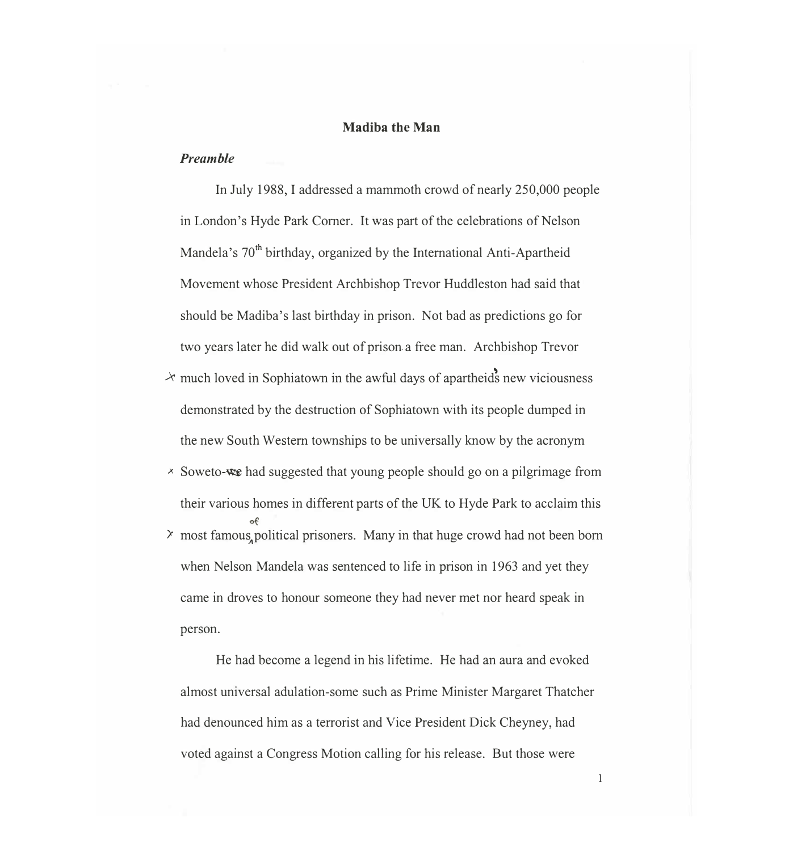#### **Madiba the Man**

### *Preamble*

In July 1988, I addressed a mammoth crowd of nearly 250,000 people in London's Hyde Park Comer. It was part of the celebrations of Nelson Mandela's 70<sup>th</sup> birthday, organized by the International Anti-Apartheid Movement whose President Archbishop Trevor Huddleston had said that should be Madiba's last birthday in prison. Not bad as predictions go for two years later he did walk out of prison a free man. Archbishop Trevor

- $\lambda$  much loved in Sophiatown in the awful days of apartheids new viciousness demonstrated by the destruction of Sophiatown with its people dumped in the new South Western townships to be universally know by the acronym
- $\times$  Soweto-we had suggested that young people should go on a pilgrimage from their various homes in different parts of the UK to Hyde Park to acclaim this of  $\lambda$  most famous, political prisoners. Many in that huge crowd had not been born when Nelson Mandela was sentenced to life in prison in 1963 and yet they came in droves to honour someone they had never met nor heard speak in person.

He had become a legend in his lifetime. He had an aura and evoked almost universal adulation-some such as Prime Minister Margaret Thatcher had denounced him as a terrorist and Vice President Dick Cheyney, had voted against a Congress Motion calling for his release. But those were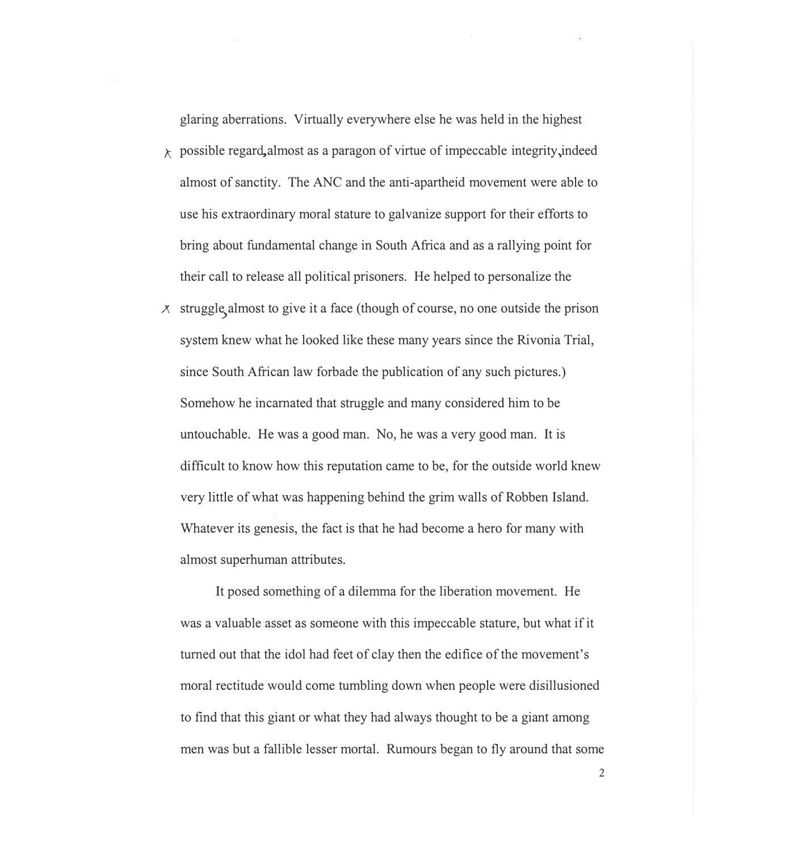**glaring aberrations. Virtually everywhere else he was held in the highest** 

- **'f:.. possible regar4almost as a paragon of virtue of impeccable integrity ,indeed almost of sanctity. The ANC and the anti-apartheid movement were able to use his extraordinary moral stature to galvanize support for their efforts to bring about fundamental change in South Africa and as a rallying point for their call to release all political prisoners. He helped to personalize the**
- **A struggle> almost to give it a face (though of course, no one outside the prison system knew what he looked like these many years since the Rivonia Trial, since South African law forbade the publication of any such pictures.) Somehow he incarnated that struggle and many considered him to be untouchable. He was a good man. No, he was a very good man. It is difficult to know how this reputation came to be, for the outside world knew very little of what was happening behind the grim walls of Robben Island. Whatever its genesis, the fact is that he had become a hero for many with almost superhuman attributes.**

**It posed something of a dilemma for the liberation movement. He was a valuable asset as someone with this impeccable stature, but what if it turned out that the idol had feet of clay then the edifice of the movement's moral rectitude would come tumbling down when people were disillusioned to find that this giant or what they had always thought to be a giant among men was but a fallible lesser mortal. Rumours began to fly around that some**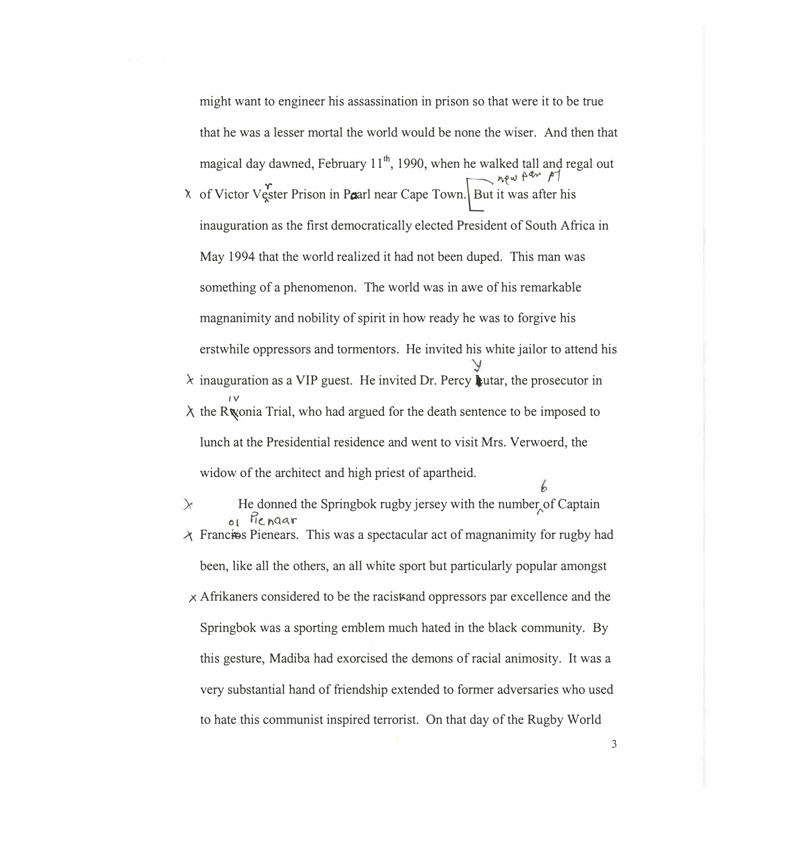might want to engineer his assassination in prison so that were it to be true that he was a lesser mortal the world would be none the wiser. And then that magical day dawned, February  $11^{th}$ , 1990, when he walked tall and regal out  $\mu$ <sup>*w*  $\mu$ <sup>*dw*  $\mu$ </sup></sup>

- $\lambda$  of Victor Vester Prison in Paarl near Cape Town. But it was after his inauguration as the first democratically elected President of South Africa in May 1994 that the world realized it had not been duped. This man was something of a phenomenon. The world was in awe of his remarkable magnanimity and nobility of spirit in how ready he was to forgive his erstwhile oppressors and tormentors. He invited his white jailor to attend his
- $\lambda$  inauguration as a VIP guest. He invited Dr. Percy Lutar, the prosecutor in *IV*   $\lambda$  the R wonia Trial, who had argued for the death sentence to be imposed to lunch at the Presidential residence and went to visit Mrs. Verwoerd, the widow of the architect and high priest of apartheid.
- $\times$ He donned the Springbok rugby jersey with the number of Captain  $\theta$ **1** Piendar  $\lambda$  Francies Pienears. This was a spectacular act of magnanimity for rugby had

been, like all the others, an all white sport but particularly popular amongst

 $\times$  Afrikaners considered to be the racistand oppressors par excellence and the Springbok was a sporting emblem much hated in the black community. By this gesture, Madiba had exorcised the demons of racial animosity. It was a very substantial hand of friendship extended to former adversaries who used to hate this communist inspired terrorist. On that day of the Rugby World

3

b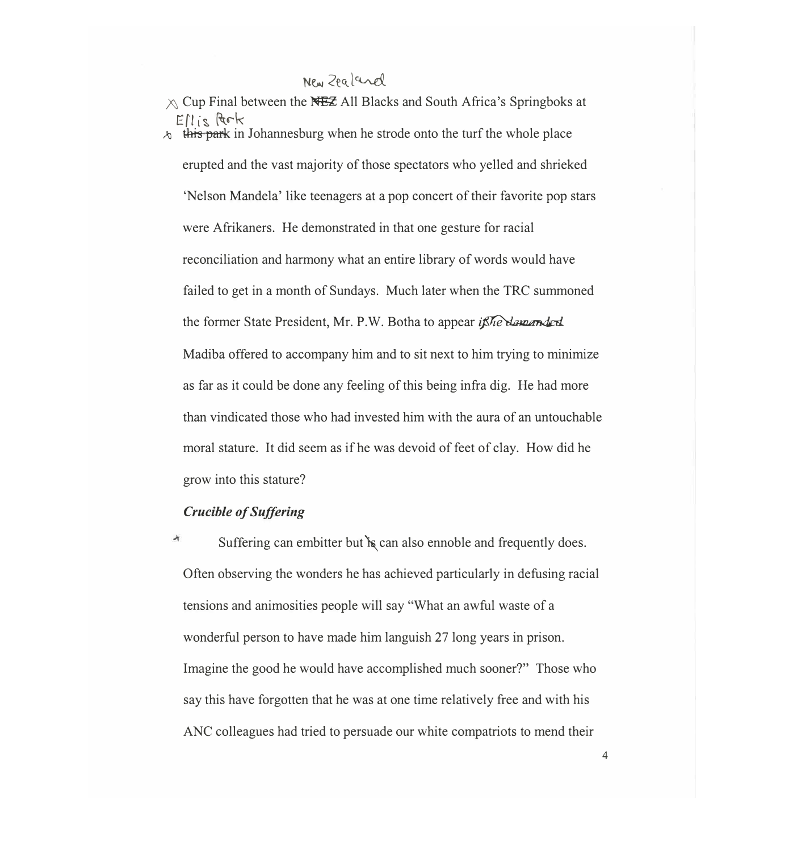# New Zealand

 $\wedge$  Cup Final between the NEZ All Blacks and South Africa's Springboks at  $EII$  is Park Al **this** park in Johannesburg when he strode onto the turf the whole place erupted and the vast majority of those spectators who yelled and shrieked 'Nelson Mandela' like teenagers at a pop concert of their favorite pop stars were Afrikaners. He demonstrated in that one gesture for racial reconciliation and harmony what an entire library of words would have failed to get in a month of Sundays. Much later when the TRC summoned the former State President, Mr. P.W. Botha to appear *if he demanded* Madiba offered to accompany him and to sit next to him trying to minimize as far as it could be done any feeling of this being infra dig. He had more than vindicated those who had invested him with the aura of an untouchable moral stature. It did seem as if he was devoid of feet of clay. How did he grow into this stature?

### *Crucible of Suffering*

Suffering can embitter but is can also ennoble and frequently does. Often observing the wonders he has achieved particularly in defusing racial tensions and animosities people will say "What an awful waste of a wonderful person to have made him languish 27 long years in prison. Imagine the good he would have accomplished much sooner?" Those who say this have forgotten that he was at one time relatively free and with his ANC colleagues had tried to persuade our white compatriots to mend their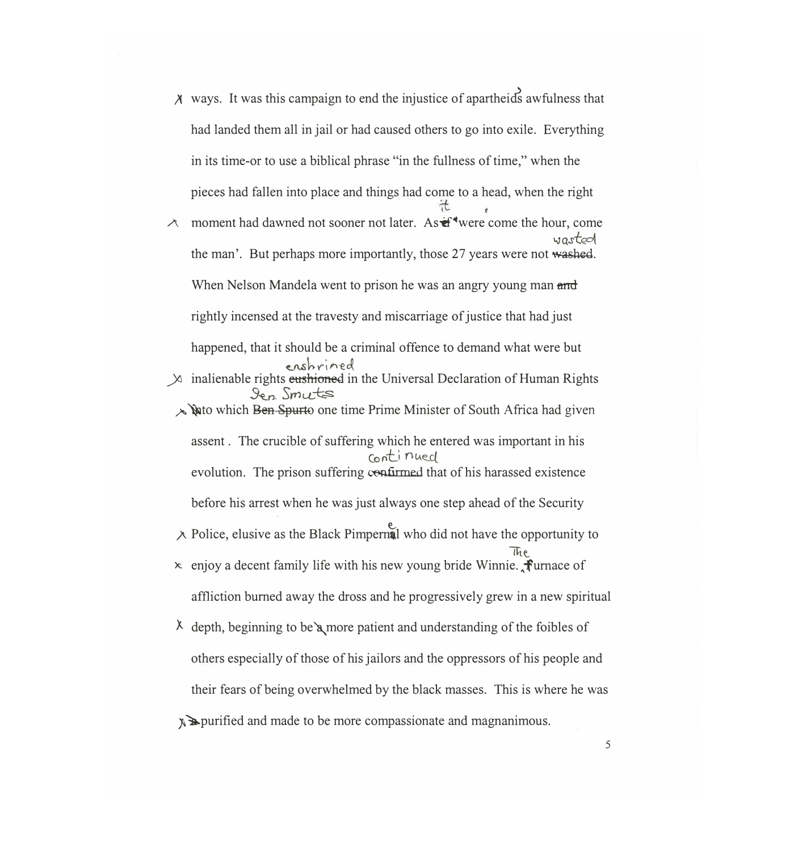- $\chi$  ways. It was this campaign to end the injustice of apartheids awfulness that had landed them all in jail or had caused others to go into exile. Everything in its time-or to use a biblical phrase "in the fullness of time," when the pieces had fallen into place and things had come to a head, when the right
- A moment had dawned not sooner not later. As  $\mathbf{\hat{f}}^*$  were come the hour, come wastool the man'. But perhaps more importantly, those 27 years were not washed. When Nelson Mandela went to prison he was an angry young man and rightly incensed at the travesty and miscarriage of justice that had just happened, that it should be a criminal offence to demand what were but ershrined
- $\chi$  inalienable rights eustriand in the Universal Declaration of Human Rights *3�n. Srnt.L�* 
	- *� �to* which Ben Spurto one time Prime Minister of South Africa had given assent . The crucible of suffering which he entered was important in his continued evolution. The prison suffering confirmed that of his harassed existence before his arrest when he was just always one step ahead of the Security
	- $\lambda$  Police, elusive as the Black Pimpernal who did not have the opportunity to  $\sqrt{h}e$
	- $\ast$  enjoy a decent family life with his new young bride Winnie.  $\hat{\mathbf{f}}$ urnace of affliction burned away the dross and he progressively grew in a new spiritual
	- $\lambda$  depth, beginning to be  $\lambda$  more patient and understanding of the foibles of others especially of those of his jailors and the oppressors of his people and their fears of being overwhelmed by the black masses. This is where he was

 $\mathbb{R}$  purified and made to be more compassionate and magnanimous.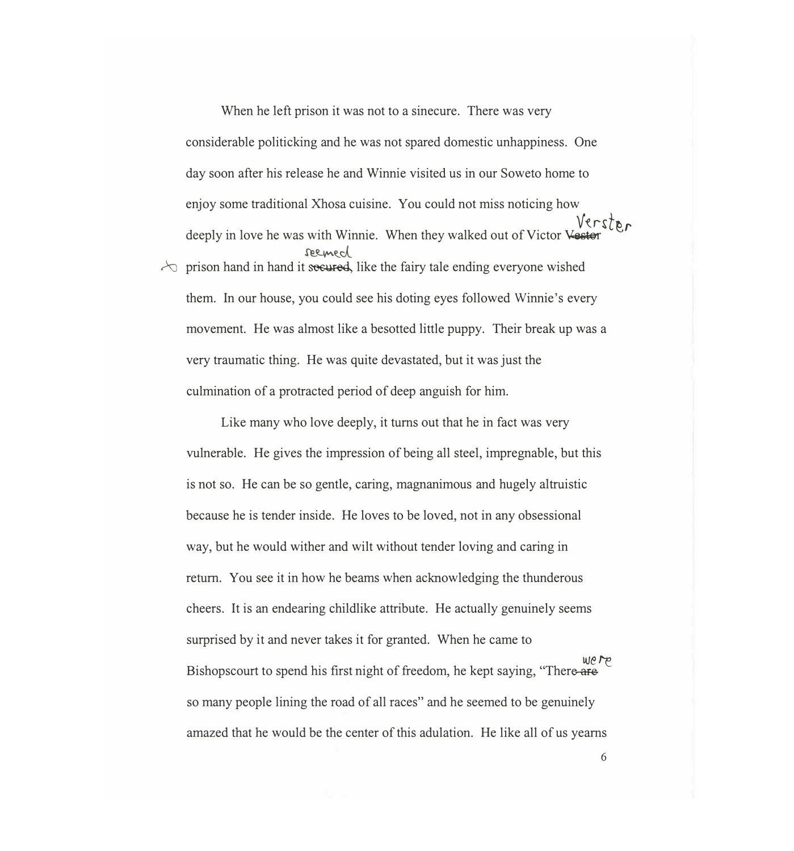When he left prison it was not to a sinecure. There was very considerable politicking and he was not spared domestic unhappiness. One day soon after his release he and Winnie visited us in our Soweto home to enjoy some traditional Xhosa cuisine. You could not miss noticing how deeply in love he was with Winnie. When they walked out of Victor Vester reemed  $\sim$  prison hand in hand it seeured, like the fairy tale ending everyone wished them. In our house, you could see his doting eyes followed Winnie's every movement. He was almost like a besotted little puppy. Their break up was a very traumatic thing. He was quite devastated, but it was just the culmination of a protracted period of deep anguish for him.

Like many who love deeply, it turns out that he in fact was very vulnerable. He gives the impression of being all steel, impregnable, but this is not so. He can be so gentle, caring, magnanimous and hugely altruistic because he is tender inside. He loves to be loved, not in any obsessional way, but he would wither and wilt without tender loving and caring in return. You see it in how he beams when acknowledging the thunderous cheers. It is an endearing childlike attribute. He actually genuinely seems surprised by it and never takes it for granted. When he came to Bishopscourt to spend his first night of freedom, he kept saying, "Ther� *t-e*  so many people lining the road of all races" and he seemed to be genuinely amazed that he would be the center of this adulation. He like all of us yearns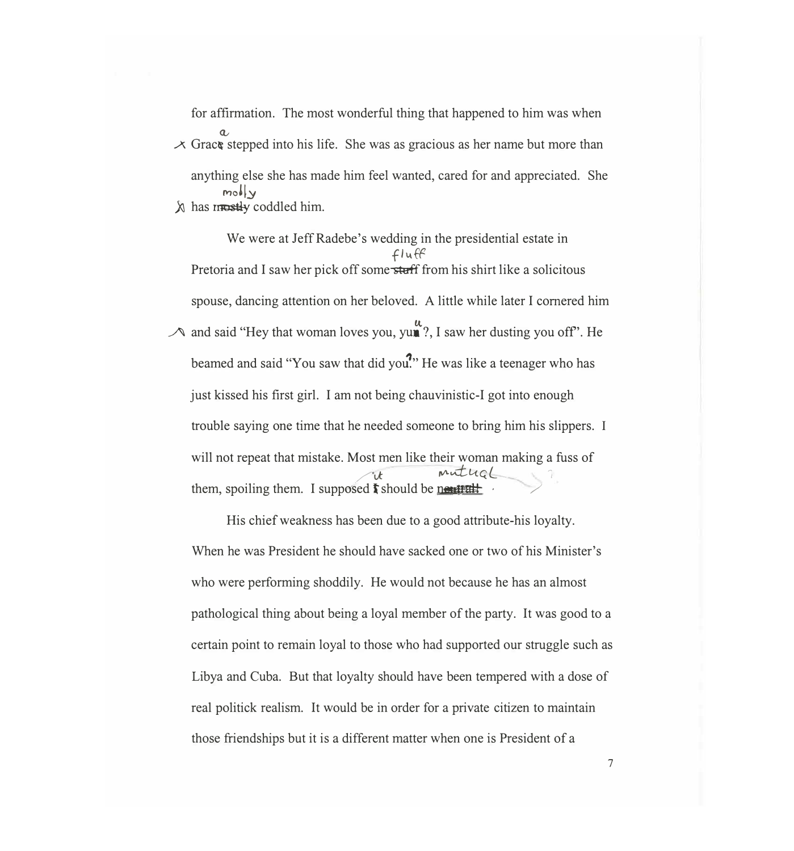for affirmation. The most wonderful thing that happened to him was when  $\overline{\mathcal{A}}$  Grace stepped into his life. She was as gracious as her name but more than anything else she has made him feel wanted, cared for and appreciated. She  $molv$ *A* has mustly coddled him.

We were at Jeff Radebe's wedding in the presidential estate in  $fluff$ Pretoria and I saw her pick off some stuff from his shirt like a solicitous spouse, dancing attention on her beloved. A little while later I cornered him  $\lambda$  and said "Hey that woman loves you, yun?, I saw her dusting you off". He beamed and said "You saw that did you." He was like a teenager who has just kissed his first girl. I am not being chauvinistic-I got into enough trouble saying one time that he needed someone to bring him his slippers. I will not repeat that mistake. Most men like their woman making a fuss of */ it muthol* them, spoiling them. I supposed  $\mathbf{\hat{f}}$  should be nextrally

His chief weakness has been due to a good attribute-his loyalty. When he was President he should have sacked one or two of his Minister's who were performing shoddily. He would not because he has an almost pathological thing about being a loyal member of the party. It was good to a certain point to remain loyal to those who had supported our struggle such as Libya and Cuba. But that loyalty should have been tempered with a dose of real politick realism. It would be in order for a private citizen to maintain those friendships but it is a different matter when one is President of a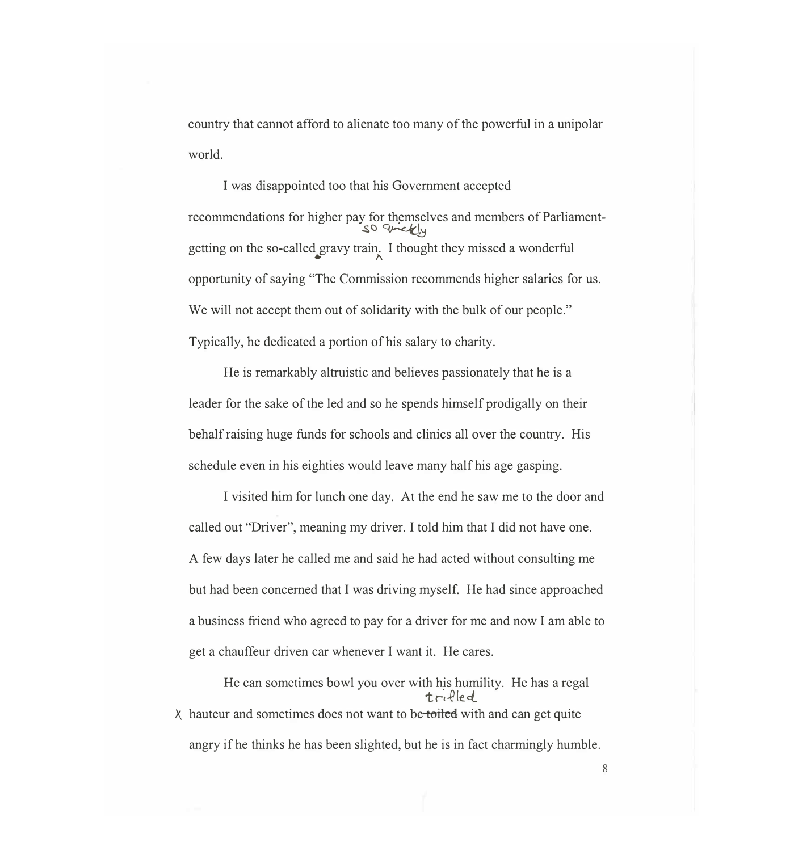country that cannot afford to alienate too many of the powerful in a unipolar world.

I was disappointed too that his Government accepted recommendations for higher pay for themselves and members of Parliamentso arickly getting on the so-called gravy train. I thought they missed a wonderful opportunity of saying "The Commission recommends higher salaries for us. We will not accept them out of solidarity with the bulk of our people." Typically, he dedicated a portion of his salary to charity.

He is remarkably altruistic and believes passionately that he is a leader for the sake of the led and so he spends himself prodigally on their behalf raising huge funds for schools and clinics all over the country. His schedule even in his eighties would leave many half his age gasping.

I visited him for lunch one day. At the end he saw me to the door and called out "Driver", meaning my driver. I told him that I did not have one. A few days later he called me and said he had acted without consulting me but had been concerned that I was driving myself. He had since approached a business friend who agreed to pay for a driver for me and now I am able to get a chauffeur driven car whenever I want it. He cares.

He can sometimes bowl you over with his humility. He has a regal  $trifled$  $\chi$  hauteur and sometimes does not want to be-toiled with and can get quite angry if he thinks he has been slighted, but he is in fact charmingly humble.